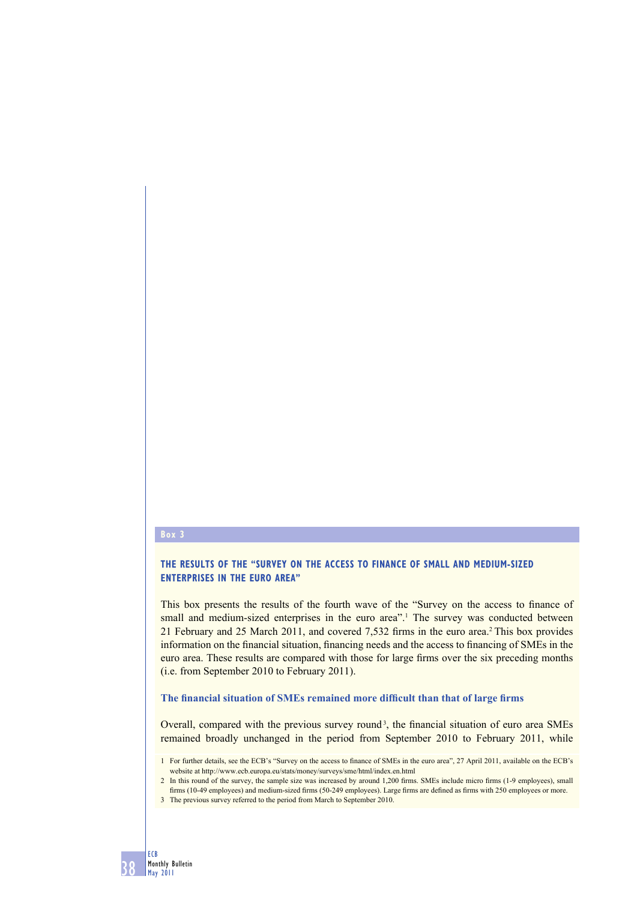#### **Box 3**

## **THE RESULTS OF THE "SURVEY ON THE ACCESS TO FINANCE OF SMALL AND MEDIUM-SIZED ENTERPRISES IN THE EURO AREA"**

This box presents the results of the fourth wave of the "Survey on the access to finance of small and medium-sized enterprises in the euro area".<sup>1</sup> The survey was conducted between 21 February and 25 March 2011, and covered 7,532 firms in the euro area.<sup>2</sup> This box provides information on the financial situation, financing needs and the access to financing of SMEs in the euro area. These results are compared with those for large firms over the six preceding months (i.e. from September 2010 to February 2011).

## The financial situation of SMEs remained more difficult than that of large firms

Overall, compared with the previous survey round<sup>3</sup>, the financial situation of euro area SMEs remained broadly unchanged in the period from September 2010 to February 2011, while

3 The previous survey referred to the period from March to September 2010.

<sup>1</sup> For further details, see the ECB's "Survey on the access to finance of SMEs in the euro area", 27 April 2011, available on the ECB's website at http://www.ecb.europa.eu/stats/money/surveys/sme/html/index.en.html

<sup>2</sup> In this round of the survey, the sample size was increased by around 1,200 firms. SMEs include micro firms (1-9 employees), small firms (10-49 employees) and medium-sized firms (50-249 employees). Large firms are defined as firms with 250 employees or more.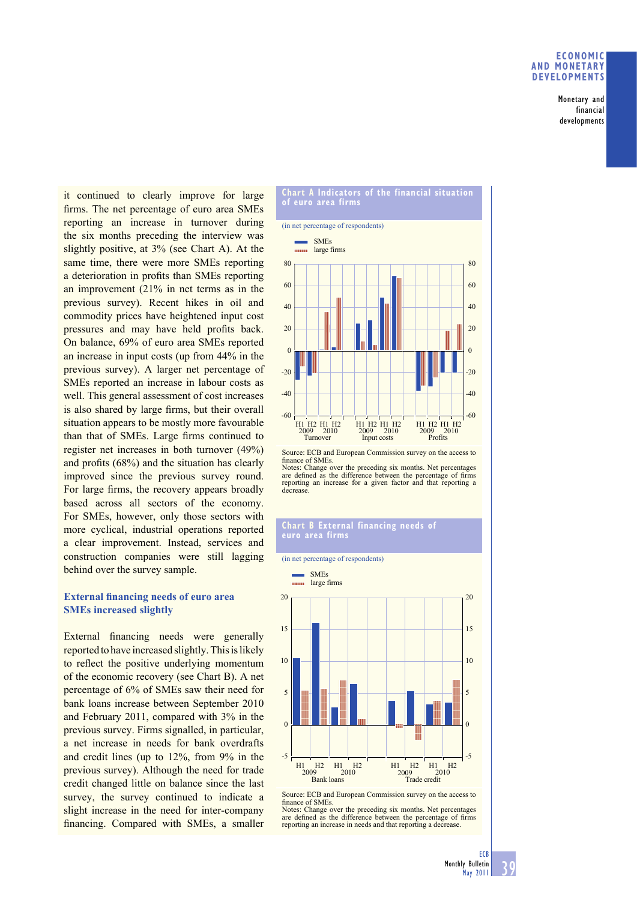#### **ECONOMIC AND MONETARY DEVELOPMENTS**

Monetary and financial developments

it continued to clearly improve for large firms. The net percentage of euro area SMEs reporting an increase in turnover during the six months preceding the interview was slightly positive, at 3% (see Chart A). At the same time, there were more SMEs reporting a deterioration in profits than SMEs reporting an improvement (21% in net terms as in the previous survey). Recent hikes in oil and commodity prices have heightened input cost pressures and may have held profits back. On balance, 69% of euro area SMEs reported an increase in input costs (up from 44% in the previous survey). A larger net percentage of SMEs reported an increase in labour costs as well. This general assessment of cost increases is also shared by large firms, but their overall situation appears to be mostly more favourable than that of SMEs. Large firms continued to register net increases in both turnover (49%) and profits  $(68%)$  and the situation has clearly improved since the previous survey round. For large firms, the recovery appears broadly based across all sectors of the economy. For SMEs, however, only those sectors with more cyclical, industrial operations reported a clear improvement. Instead, services and construction companies were still lagging behind over the survey sample.

## **External financing needs of euro area SMEs increased slightly**

External financing needs were generally reported to have increased slightly. This is likely to reflect the positive underlying momentum of the economic recovery (see Chart B). A net percentage of 6% of SMEs saw their need for bank loans increase between September 2010 and February 2011, compared with 3% in the previous survey. Firms signalled, in particular, a net increase in needs for bank overdrafts and credit lines (up to 12%, from 9% in the previous survey). Although the need for trade credit changed little on balance since the last survey, the survey continued to indicate a slight increase in the need for inter-company financing. Compared with SMEs, a smaller



Source: ECB and European Commission survey on the access to finance of SMEs.

Notes: Change over the preceding six months. Net percentages are defined as the difference between the percentage of firms reporting an increase for a given factor and that reporting a decrease.

# **Chart B External financing needs of**



Source: ECB and European Commission survey on the access to finance of SMEs.<br>Notes: Change o Change over the preceding six months. Net percentages

are defined as the difference between the percentage of firms reporting an increase in needs and that reporting a decrease.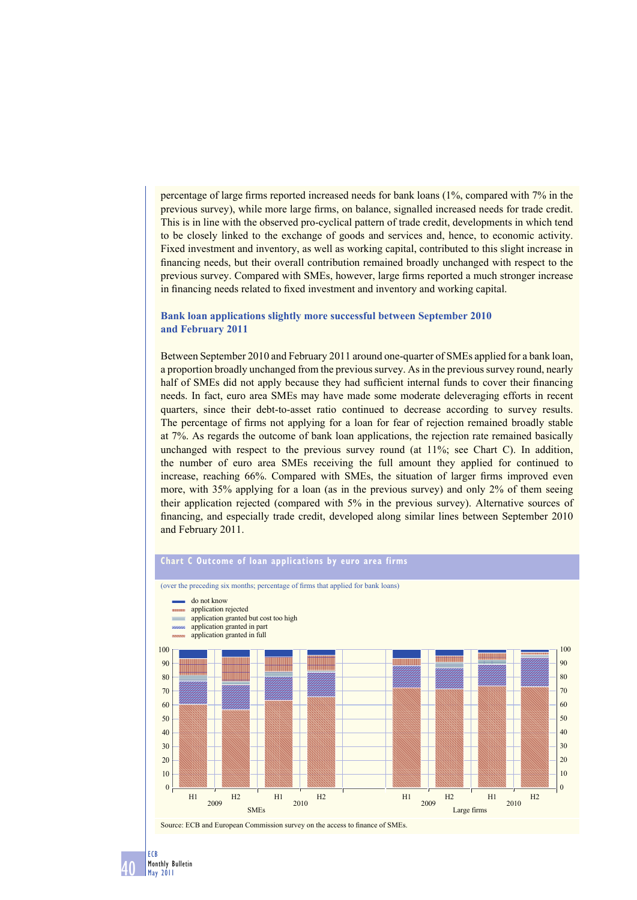percentage of large firms reported increased needs for bank loans  $(1\%$ , compared with  $7\%$  in the previous survey), while more large firms, on balance, signalled increased needs for trade credit. This is in line with the observed pro-cyclical pattern of trade credit, developments in which tend to be closely linked to the exchange of goods and services and, hence, to economic activity. Fixed investment and inventory, as well as working capital, contributed to this slight increase in financing needs, but their overall contribution remained broadly unchanged with respect to the previous survey. Compared with SMEs, however, large firms reported a much stronger increase in financing needs related to fixed investment and inventory and working capital.

### **Bank loan applications slightly more successful between September 2010 and February 2011**

Between September 2010 and February 2011 around one-quarter of SMEs applied for a bank loan, a proportion broadly unchanged from the previous survey. As in the previous survey round, nearly half of SMEs did not apply because they had sufficient internal funds to cover their financing needs. In fact, euro area SMEs may have made some moderate deleveraging efforts in recent quarters, since their debt-to-asset ratio continued to decrease according to survey results. The percentage of firms not applying for a loan for fear of rejection remained broadly stable at 7%. As regards the outcome of bank loan applications, the rejection rate remained basically unchanged with respect to the previous survey round (at  $11\%$ ; see Chart C). In addition, the number of euro area SMEs receiving the full amount they applied for continued to increase, reaching 66%. Compared with SMEs, the situation of larger firms improved even more, with 35% applying for a loan (as in the previous survey) and only 2% of them seeing their application rejected (compared with 5% in the previous survey). Alternative sources of financing, and especially trade credit, developed along similar lines between September 2010 and February 2011.